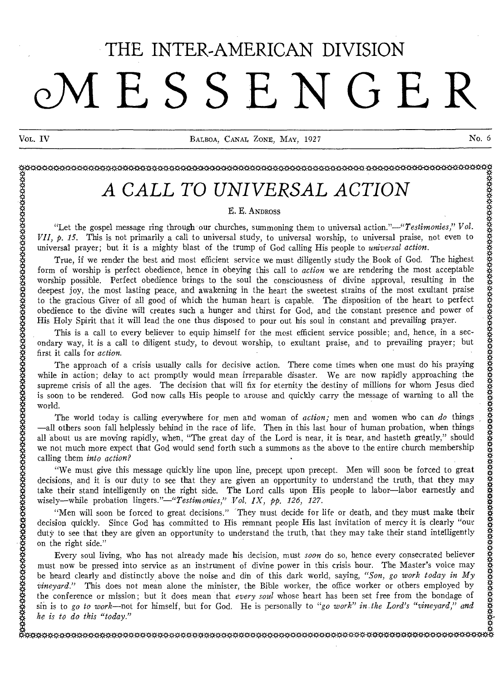# THE INTER-AMERICAN DIVISION **eMESSENGER**

VOL. IV BALBOA, CANAL ZONZ, MAY, 1927 No. 6

## A CALL TO *UNIVERSAL ACTION*

#### E. E. ANDROSS

"Let the gospel message ring through our churches, summoning them to universal *action."—"Testimonies," Vol. VII,* p. *15.* This is not primarily a call to universal study, to universal worship, to universal praise, not even to universal prayer; but it is a mighty blast of the trump of God calling His people to *universal action.* 

True, if we render the best and most efficient service we must diligently study the Book of God. The highest form of worship is perfect obedience, hence in obeying this call to *action* we are rendering the most acceptable worship possible. Perfect obedience brings to the soul the consciousness of divine approval, resulting in the deepest joy, the most lasting peace, and awakening in the heart the sweetest strains of the most exultant praise to the gracious Giver of all good of which the human heart is capable. The disposition of the heart to perfect obedience to the divine will creates such a hunger and thirst for God, and the constant presence and power of His Holy Spirit that it will lead the one thus disposed to pour out his soul in constant and prevailing prayer.

This is a call to every believer to equip himself for the most efficient service possible; and, hence, in a secondary way, it is a call to diligent study, to devout worship, to exultant praise, and to prevailing prayer; but first it calls for *action.* 

The approach of a crisis usually calls for decisive action. There come times when one must do his praying while in action; delay to act promptly would mean irreparable disaster. We are now rapidly approaching the supreme crisis of all the ages. The decision that will fix for eternity the destiny of millions for whom Jesus died is soon to be rendered. God now calls His people to arouse and quickly carry the message of warning to all the world.

The world today is calling everywhere for men and woman of *action;* men and women who can *do* things —all others soon fall helplessly behind in the race of life. Then in this last hour of human probation, when things all about us are moving rapidly, when, "The great day of the Lord is near, it is near, and hasteth greatly," should we not much more expect that God would send forth such a summons as the above to the entire church membership calling them *into action?* 

"We must give this message quickly line upon line, precept upon precept. Men will soon be forced to great decisions, and it is our duty to see that they are given an opportunity to understand the truth, that they may take their stand intelligently on the right side. The Lord calls upon His people to labor—labor earnestly and wisely—while probation *lingers."—"Testimonies," Vol. IX,* pp. *126, 127.* 

"Men will soon be forced to great decisions." They must decide for life or death, and they must make their decision quickly. Since God has committed to His remnant people His last invitation of mercy it is clearly "our duty to see that they are given an opportunity to understand the truth, that they may take their stand intelligently on the right side."

Every soul living, who has not already made his decision, must *soon* do so, hence every consecrated believer must now be pressed into service as an instrument of divine power in this crisis hour. The Master's voice may be heard clearly and distinctly above the noise and din of this dark world, saying, *"Son, go work today in My vineyard."* This does not mean alone the minister, the Bible worker, the office worker or others employed by the conference or mission; but it does mean that *every soul* whose heart has been set free from the bondage of sin is to *go to work—not* for himself, but for God. He is personally to *"go work" in the Lord's "vineyard," and he is to do this "today."*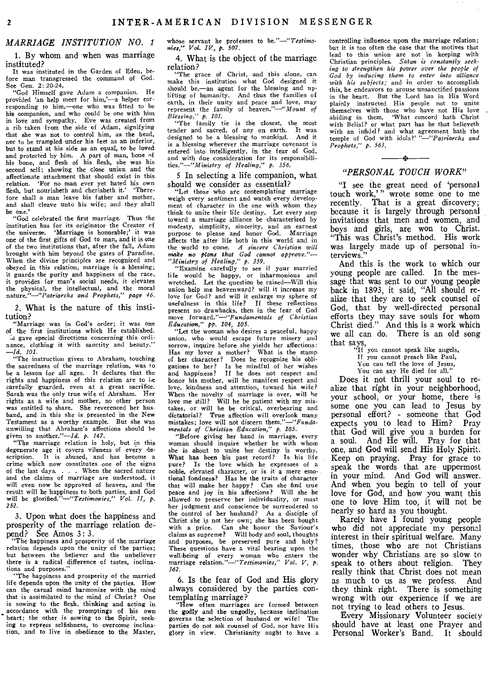#### *MARRIAGE INSTITUTION NO. 1*

1. By whom and when was marriage instituted?

It was instituted in the Garden of Eden, before man transgressed the command of God. See Gen. 2:20-24.

"God Himself gave Adam a companion. He provided 'an help meet for him,'—a helper corresponding to him,—one who was fitted to be his companion, and who could be one with him in love and sympathy. Eve was created from a rib taken from the side of Adam, signifying that she was not to control him, as the head, nor to be trampled under his feet as an inferior, but to stand at his side as an equal, to be loved and protected by him. A part of man, bone of his bone, and flesh of his flesh, she was his second self: showing the close union and the affectionate attachment that should exist in this relation. For no man ever yet hated his own 'For no man ever yet hated his own flesh, but nourisheth and cherisheth it.' Therefore shall a man leave his father and mother, and shall cleave unto his wife; and they shall be one.'

"God celebrated the first marriage. Thus the institution has for its originator the Creator of the universe. 'Marriage is honorable;' it was one of the first gifts of God to man, and it is one of the two institutions that, after the fall, Adam brought with him beyond the gates of Paradise. When the divine principles are recognized and obeyed in this relation, marriage is a blessing; it guards the purity and happiness of the race, it provides for man's social needs, it elevates the physical, the intellectual, and the moral *nature."—"Patriarchs and Prophets," page 46.* 

2. What is the nature of this institution?

"Marriage was in God's order; it was one of the first institutions which He established. :z gave special directions concerning this ordinance, clothing it with sanctity and beauty." *—Id. 101.* 

"The instruction given to Abraham, touching the sacredness of the marriage relation, was to be a lesson for all ages. It declares that the rights and happiness of this relation are to be carefully guarded, even at a great sacrifice. Sarah was the only true wife of Abraham. Her rights as a wife and mother, no other person was entitled to share. She reverenced her husband, and in this she is presented in the New Testament as a worthy example. But she was unwilling that Abraham's affections should he given to another."—/d. *p. 147.* 

"The marriage relation is holy, but in this degenerate age it covers vileness of every de-<br>scription. It is abused, and has become a It is abused, and has become a crime which now constitutes one of the signs of the last days. . . . When the sacred nature and the claims of marriage are understood, it will even now be approved of heaven, and the result will be happiness to both parties, and God will be glorified."-"Testimonies," Vol. II, p. *252.* 

3. Upon what does the happiness and prosperity of the marriage relation depend? See Amos 3: 3.

"The happiness and prosperity of the marriage relation depends upon the unity of the parties; but between the believer and the unbeliever there is a radical difference of tastes, inclinations and purposes."

"The happiness and prosperity of the married life depends upon the unity of the parties. How can the carnal mind harmonize with the mind that is assimilated to the mind of Christ? One is sowing to the flesh, thinking and acting in accordance with the promptings of his own heart; the other is sowing to the Spirit, seeking to repress selfishness, to overcome inclination, and to live in obedience to the Master, whose servant he professes to *be."—"Testimo-nies," Vol. IV, p. 507.* 

4. What is the object of the marriage relation?

The grace of Christ, and this alone, can make this institution what God designed it should be,—an agent for the blessing and uplifting of humanity. And thus the families of earth, in their unity and peace and love, may represent the family of heaven."—"Mount *of Blessing," p. 101.* 

"The family tie is the closest, the most tender and sacred, of any on earth. It was<br>designed to be a blessing to mankind. And it designed to be a blessing to mankind. is a blessing wherever the marriage covenant is entered into intelligently, in the fear of God, and with due consideration for its responsibilities."—"Ministry *of Healing," p. 336.* 

#### 5 In selecting a life companion, what should we consider as essential?

"Let those who are contemplating marriage weigh every sentiment and watch every development of character in the one with whom they think to unite their life destiny. Let every step toward a marriage alliance be characterized by modesty, simplicity, sincerity, and an earnest purpose to please and honor God. Marriage affects the after life both in this world and in the world to come. *A sincere Christian will make no plans that God cannot approve."— "Ministry of Healing," p. 359.* 

"Examine carefully to see if your married life would be happy, or inharmonious and wretched. Let the question be raised—Will this union help me heavenward? will it increase my love for God? and will it enlarge my sphere of usefulness in this life? If these reflections present no drawbacks, then in the fear of God move forward."—"Fundamentals *of Christian Education," pp. 104, 105.* 

"Let the woman who desires a peaceful, happy union, who would escape future misery and sorrow, inquire before she yields her affections: Has my lover a mother? What is the stamp of her character? Does he recognize his obligations to her? Is he mindful of her wishes and happiness? If he does not respect and honor his mother, will he manifest respect and love, kindness and attention, toward his wife? When the novelty of marriage is over, will he love me still? Will he be patient with my mis-takes, or will he be critical, overbearing and dictatorial? True affection will overlook many mistakes: love will not discern them."-"Fundamistakes; love will not discern them.' *mentals of Christian Education," p. 10S.* 

"Before giving her hand in marriage, every woman should inquire whether he with whom she is about to unite her destiny is worthy. What has been his past record? Is his life pure? Is the love which he expresses of a noble, elevated character, or is it a mere emotional fondness? Has he the traits of character that will make her happy? Can she find true peace and joy in his affections? allowed to preserve her individuality, or must her judgment and conscience be surrendered to the control of her husband? As a disciple of Christ she is not her own; she has been bought with a price. Can she honor the Saviour's claims as supreme? Will body and soul, thoughts and purposes, be preserved pure and holy? These questions have a vital bearing upon the well-being of every woman who enters the marriage *relation."—"Testimonies," Vol. V, p. 362.* 

6. Is the fear of God and His glory always considered by the parties contemplating marriage?

"How often marriages are formed between the godly and the ungodly, because inclination<br>governs the selection of husband or wife! The governs the selection of husband or wife! parties do not ask counsel of God, nor have His glory in view. Christianity ought to have a controlling influence upon the marriage relation; but it is too often the case that the motives that lead to this union are not in keeping with Christian principles. *Satan is constantly seeking to strengthen his power over the people of God by inducing them to enter into alliance with his subjects;* and in order to accomplish this, he endeavors to arouse unsanctified passions in the heart. But the Lord has in His Word plainly instructed His people not to unite themselves with those who have not His love abiding in them. 'What concord bath Christ with Belial? or what part has he that believeth with an infidel? and what agreement hath the temple of God with idols?' "—"*Patriarchs and Prophets,"* p. 563.

## *"PERSONAL TOUCH WORK"*

 $-1$ 

**"I** see the great need of 'personal touch work,'" wrote some one to me recently. That is a great discovery; because it is largely through personal invitations that men and women, and boys and girls, are won to Christ. "This was Christ's method. His work was largely made up of personal interviews."

And this is the work to which our young people are called. In the message that was sent to our young people back in 1893, it said, "All should realize that they are to seek counsel of God, that by well-directed personal efforts they may save souls for whom Christ died." And this is a work which we all can do. There is an old song that says, "If you cannot speak like angels, If you cannot preach like Paul,

You can tell the love of Jesus,

You can say He died for all."

Does it not thrill your soul to realize that right in your neighborhood, your school, or your home, there is some one you can lead to Jesus by personal effort? - someone that God expects you to lead to Him? Pray that God will give you a burden for a soul. And He will. Pray for that one, and God will send His Holy Spirit. Keep on praying. Pray for grace to speak the words that are uppermost in your mind. And God will answer. And when you begin to tell of your love for God, and how you want this one to love Him too, it will not be nearly so hard as you thought.

Rarely have I found young people who did not appreciate my personal interest in their spiritual welfare. Many times, those who are not Christians wonder why Christians are so slow to speak to others about religion. They really think that Christ does not mean as much to us as we profess. And they think right. There is something wrong with our experience if we are not trying to lead others to Jesus.

Every Missionary Volunteer society should have at least one Prayer and Personal Worker's Band. It should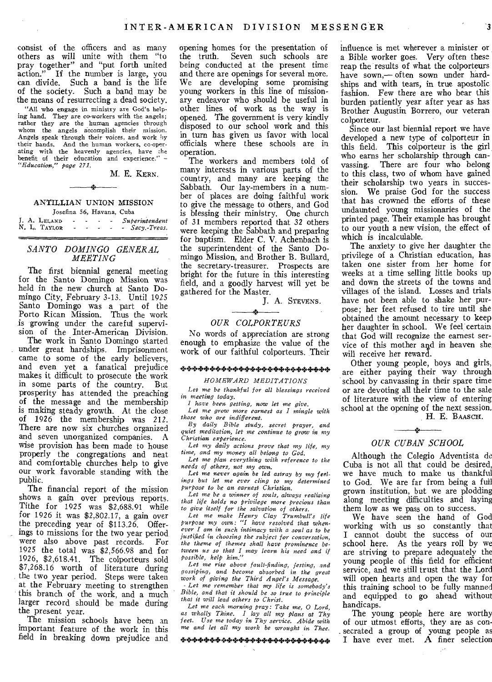consist of the officers and as many others as will unite with them "to pray together" and "put forth united action." If the number is large, you can divide. Such a band is the life of the society. Such a band may be the means of resurrecting a dead society. "All who engage in ministry are God's helping hand. They are co-workers with the angels;

rather they are the human agencies through whom the angels accomplish their mission. Angels speak through their voices, and work by their hands. And the human workers, co-oper-<br>ating with the heavenly agencies, have the<br>benefit of their education and experience." –<br>"*Education," page 271*.

M. E. KERN.

#### ANTILLIAN UNION MISSION Josefina 56, Havana, Cuba

 $\mathcal{L}$ 

J. A. LELAND - - - *Superintendent* **N. L. TAYLOR** - - - - *Secv. Treas. Secy.-Treas.* 

#### *SANTO DOMINGO GENERAL MEETING*

The first biennial general meeting for the Santo Domingo Mission was held in the new church at Santo Domingo City, February 3-13. Until 1925 Santo Domingo was a part of the Porto Rican Mission. Thus the work is growing under the careful supervision of the Inter-American Division. The work in Santo Domingo started under great hardships. Imprisonment came to some of the early believers, and even yet a fanatical prejudice makes it difficult to prosecute the work<br>in some parts of the country. But in some parts of the country. prosperity has attended the preaching of the message and the membership is making steady growth. At the close of 1926 the membership was 212. There are now six churches organized and seven unorganized companies. A wise provision has been made to house properly the congregations and neat and comfortable churches help to give our work favorable standing with the public.

The financial report of the mission shows a gain over previous reports. Tithe for 1925 was \$2,688.91 while for 1926 it was \$2,802.17, a gain over the preceding year of \$113.26. Offerings to missions for the two year period were also above past records. For 1925 the total was \$2,566.98 and for 1926, \$2,618.41. The colporteurs sold \$7,268.16 worth of literature during the two year period. Steps were taken at the February meeting to strengthen this branch of the work, and a much larger record should be made during the present year.

The mission schools have been an important feature of the work in this field in breaking down prejudice and opening homes for the presentation of the truth. Seven such schools are being conducted at the present time and there are openings for several more. We are developing some promising young workers in this line of missionary endeavor who should be useful in other lines of work as the way is opened. The government is very kindly disposed to our school work and this in turn has given us favor with local officials where these schools are in operation.

The workers and members told of many interests in various parts of the country, and many are keeping the Sabbath. Our lay-members in a number of places are doing faithful work to give the message to others, and God is blessing their ministry. One church of 31 members reported that 32 others were keeping the Sabbath and preparing for baptism. Elder C. V. Achenbach is the superintendent of the Santo Domingo Mission, and Brother B. Bullard, the secretary-treasurer. Prospects are bright for the future in this interesting field, and a goodly harvest will yet be gathered for the Master.

J. A. STEVENS.

#### $\rightarrow$ *OUR COLPORTEURS*

No words of appreciation are strong enough to emphasize the value of the work of our faithful colporteurs. Their

#### \*\*\*\*\*\*\*\*\*\*\*\*\*\*\*\*\*\*\*\*\*\*\*\*\*\*

*HOMEWARD MEDITATIONS* 

*Let me be thankful for all blessings received in meeting today.* 

*I have been getting, now let me give.* 

*Let me grow more earnest as I mingle with those who are indifferent.* 

*By daily Bible* study, *secret* prayer, and *quiet meditation, let me continue to grow* in my *Christian experience.* 

*Let my daily actions prove that my life, my time, and my money all belong to God.* 

*Let me plan everything with reference to the needs of others, not my own.* 

Let me never again be led astray by my feel*ings but let me ever cling to my determined purpose to be an earnest Christian.* 

*Let me be* a *winner of souls, always realising that life holds no privilege* more *precious than to give itself for the salvation of others.* 

Let me make Henry Clay Trumbull's life<br>purpose my own: "I have resolved that when*ever I am in such intimacy with a soul as to be justified in choosing the subject for conversation, the theme of themes shall have prominence between* us *so that I may learn his need and if possible, help him."* 

*Let me rise above fault-finding, jesting,* and *gossiping, and become absorbed in the great* 

*work of giving the Third Angel's Message. - Let me remember that my life is somebody's Bible, and that it should be so* **true** *to principle that it will lead others to Christ.* 

*Let* **me** *each morning* pray: *Take me, 0 Lord, as wholly Thine. I lay all my plans at Thy feet. Use me today in. Thy service. Abide with me and let all my work be wrought in Thee.* 

\*\*\*\*\*\*\*\*\*\*\*\*\*\*\*\*\*\*\*\*\*\*\*\*\*\*\*

influence is met wherever a minister or a Bible worker goes. Very often these reap the results of what the colporteurs have sown,— often sown under hardships and with tears, in true apostolic fashion. Few there are who bear this burden patiently year after year as has Brother Augustin Borrero, our veteran colporteur.

Since our last biennial report we have developed a new type of colporteur in this field. This colporteur is the girl who earns her scholarship through canvassing. There are four who belong to this class, two of whom have gained their scholarship two years in succession. We praise God for the success that has crowned the efforts of these undaunted young missionaries of the printed page. Their example has brought to our youth a new vision, the effect of which is incalculable.

The anxiety to give her daughter the privilege of a Christian education, has taken one sister from her home for weeks at a time selling little books up and down the streets of the towns and villages of the island. Losses and trials have not been able to shake her purpose; her feet refused to tire until she obtained the amount necessary to keep her daughter in school. We feel certain that God will recognize the earnest service of this mother and in heaven she will receive her reward.

Other young people, boys and girls, are either paying their way through school by canvassing in their spare time or are devoting all their time to the sale of literature with the view of entering school at the opening of the next session. H. E. BAASCH.

## $\overline{\phantom{a}}$

#### *OUR CUBAN SCHOOL*

Although the Colegio Adventista de Cuba is not all that could be desired, we have much to make us thankful to God. We are far from being a full grown institution, but we are plodding along meeting difficulties and laying them low as we pass on to success.

We have seen the hand of God working with us so constantly that I cannot doubt the success of our school here. As the years roll by we are striving to prepare adequately the young people of this field for efficient service, and we still trust that the Lord will open hearts and open the way for this training school to be fully manned and equipped to go ahead without handicaps.

The young people here are worthy of our utmost efforts, they are as consecrated a group of young people as I have ever met. A finer selection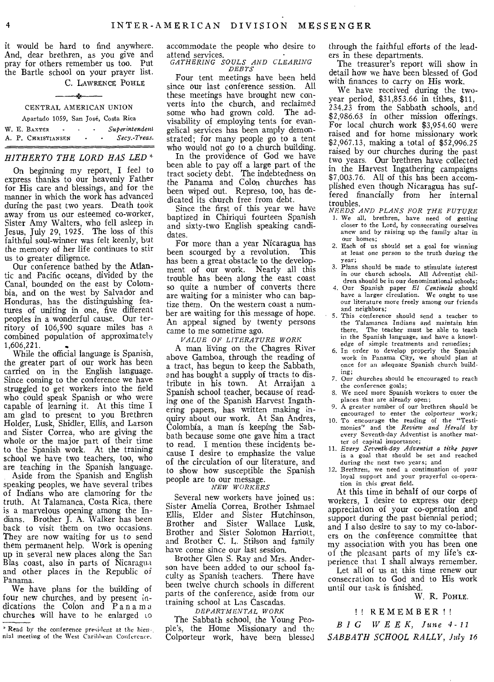it would be hard to find anywhere. And, dear brethren, as you give and pray for others remember us too. Put the Bartle school on your prayer list.

#### C. LAWRENCE POHLE  $\overline{\phantom{a}}$

#### CENTRAL AMERICAN UNION

#### Apartado 1059, San Jose, Costa Rica

|  | W. E. BAXTER       |  |  | Superintendent |
|--|--------------------|--|--|----------------|
|  | A. P. CHRISTIANSEN |  |  | Secy.-Treas.   |

#### *HITHERTO THE LORD HAS LED'*

On beginning my report, I feel to express thanks to our heavenly Father for His care and blessings, and for the manner in which the work has advanced during the past two years. Death took away from us our esteemed co-worker, Sister Amy Walters, who fell asleep in Jesus, July 29, 1925. The loss of this faithful soul-winner was felt keenly, but the memory of her life continues to stir us to greater diligence.

Our conference bathed by the Atlantic and Pacific oceans, divided by the Canal, bounded on the east by Colombia, and on the west by Salvador and Honduras, has the distinguishing features of uniting in one, five different peoples in a wonderful cause. Our territory of 106,590 square miles has a combined population of approximately 1,606,221.

While the official language is Spanish, the greater part of our work has been carried on in the English language. Since coming to the conference we have struggled to get workers into the field who could speak Spanish or who were capable of learning it. At this time I am glad to present to you Brethren Holder, Lusk, Shidler, Ellis, and Larson and Sister Correa, who are giving the whole or the major part of their time to the Spanish work. At the training school we have two teachers, too, who are teaching in the Spanish language.

Aside from the Spanish and English speaking peoples, we have several tribes of Indians who are clamoring for the truth. At Talamanca, Costa Rica, there is a marvelous opening among the Indians. Brother J. A. Walker has been back to visit them on two occasions. They are now waiting for us to send them permanent help. Work is opening up in several new places along the San Blas coast, also in parts of Nicaragua and other places in the Republic of Panama.

We have plans for the building of four new churches, and by present indications the Colon and Pan a in *<sup>a</sup>* churches will have to he enlarged to accommodate the people who desire to attend services.

*GATHERING SOULS AND CLEARING DEBTS* 

Four tent meetings have been held since our last conference session. All these meetings have brought new converts into the church, and reclaimed some who had grown cold. The advisability of employing tents for evangelical services has been amply demonstrated; for many people go to a tent who would not go to a church building.

In the providence of God we have been able to pay off a large part of the tract society debt. The indebtedness on the Panama and Colon churches has been wiped out. Represo, too, has dedicated its church free from debt.

Since the first of this year we have baptized in Chiriqui fourteen Spanish and sixty-two English speaking candidates.

For more than a year Nicaragua has been scourged by a revolution. This has been a great obstacle to the development of our work. Nearly all this trouble has been along the east coast so quite a number of converts there are waiting for a minister who can baptize them. On the western coast a number are waiting for this message of hope. An appeal signed by twenty persons came to me sometime ago.

*VALUE OF LITERATURE WORK* 

A man living on the Chagres River above Gamboa, through the reading of a tract, has begun to keep the Sabbath, and has bought a supply of tracts to dis• tribute in his town. At Arraijan Spanish school teacher, because of reading one of the Spanish Harvest Ingathering papers, has written making inquiry about our work. At San Andres, Colombia, a man is keeping the Sabbath because some one gave him a tract to read. I mention these incidents because I desire to emphasize the value of the circulation of our literature, and to show how susceptible the Spanish people are to our message.

#### *NEW WORKERS*

Several new workers have joined us: Sister Amelia Correa, Brother Ishmael Ellis, Elder and Sister Hutchinson, Brother and Sister Wallace Lusk, Brother and Sister Solomon Harriott, and Brother C. L. Stilson and family have come since our last session.

Brother Glen S. Ray and Mrs. Anderson have been added to our school faculty as Spanish teachers. There have been twelve church schools in different parts of the conference, aside from our training school at Las Cascadas.

*DEPARTMENTAL WORK* 

The Sabbath school, the Young People's, the Home Missionary and the Colporteur work, have been blessed through the faithful efforts of the leaders in these departments.

The treasurer's report will show in detail how we have been blessed of God with finances to carry on His work.

We have received during the twoyear period, \$31,853.66 in tithes, \$11, 234.23 from the Sabbath schools, and \$2,986.63 in other mission offerings. For local church work \$3,954.60 were raised and for home missionary work \$2,967.13, making a total of \$52,996.25 raised by our churches during the past two years. Our brethren have collected in the Harvest Ingathering campaigns \$7,003.76. All of this has been accomplished even though Nicaragua has suffered financially from her internal troubles.

- *NEEDS AND PLANS FOR THE FUTURE*  1. We all, brethren, have need of getting closer to the Lord, by consecrating ourselves anew and by raising up the family altar in our homes;
- 2. Each of us should set a goal for winning at least *one* person to the truth during the year;
- 3. Plans should be made to stimulate interest in our church schools. All Adventist children should be in our denominational schools;
- 4. Our Spanish paper *El Centinela* should have a larger circulation. We ought to use our literature more freely among our friends and neighbors;
- 5. This conference should send a teacher to the Talamanca Indians and maintain him there. The teacher must be able to teach in the Spanish language, and have a knowledge of simple treatments and remedies;
- 6. In order to develop properly the Spanish work in Panama City, we should plan at once for an adequate Spanish church building;
- 7. Our churches should be encouraged to reach the conference goals;
- 3. We need more Spanish workers to enter the places that are already open;
- 9. A greater number of our brethren should be encouraged to enter the colporteur work; 10. To encourage the reading of the "Testi-
- monies" and the *Review and Herald by*  every Seventh-day Adventist is another matter of capital importance;
- *11. Every Seventh-day Adventist a tithe payer*  is a goal that should be set and reached during the next two years; and
- 12. Brethren, we need a continuation of your loyal support and your prayerful co-operation in this great field.

At this time in behalf of our corps of workers, I desire to express our deep appreciation of your co-operation and support during the past biennial period; and I also desire to say to my co-laborers on the conference committee that my association with you has been one of the pleasant parts of my life's experience that I shall always remember.

Let all of us at this time renew our consecration to God and to His work until our task is finished.

## W. R. POHLE.

## !! REMEMBER !!

*BIG WEEK, June 4-11 SABBATH SCHOOL RALLY, July 16* 

Read by the conference president at the hien-. nial meeting of the West Caribbean Conference.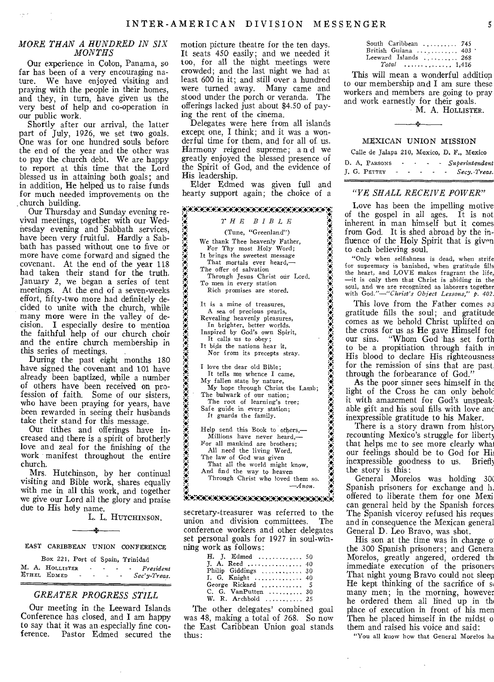#### *MORE THAN A HUNDRED IN SIX MONTHS*

Our experience in Colon, Panama, so far has been of a very encouraging nature. We have enjoyed visiting and praying with the people in their homes, and they, in turn, have given us the very best of help and co-operation in our public work.

Shortly after our arrival, the latter part of July, 1926, we set two goals. One was for one hundred souls before the end of the year and the other was to pay the church debt. We are happy to report at this time that the Lord blessed us in attaining both goals; and in addition, He helped us to raise funds for much needed improvements on the .church building.

Our Thursday and Sunday evening revival meetings, together with our Wednesday evening and Sabbath services, have been very fruitful. Hardly a Sabbath has passed without one to five or more have come forward and signed the covenant. At the end of the year 118 had taken their stand for the truth. January 2, we began a series of tent meetings. At the end of a seven-weeks effort, fifty-two more had definitely decided to unite with the church, while many more were in the valley of decision. I especially desire to mention the faithful help of our church choir and the entire church membership in this series of meetings.

During the past eight months 180 have signed the covenant and 101 have already been baptized, while a number of others have been received on profession of faith. Some of our sisters, who have been praying for years, have been rewarded in seeing their husbands take their stand for this message.

Our tithes and offerings have increased and there is a spirit of brotherly love and zeal for the finishing of the work manifest throughout the entire church.

Mrs. Hutchinson, by her continual visiting and Bible work, shares equally with me in all this work, and together we give our Lord all the glory and praise due to His holy name.

L. L. HUTCHINSON.

#### EAST CARIBBEAN UNION CONFERENCE

|  |             | Box 221, Port of Spain, Trinidad |        |        |        |                           |
|--|-------------|----------------------------------|--------|--------|--------|---------------------------|
|  |             |                                  |        |        |        | M. A. HOLLISTER President |
|  | ETHEL EDMED | $\sim$ 100 $\mu$                 | $\sim$ | $\sim$ | $\sim$ | $Sec'y-Treas$ .           |

### *GREATER PROGRESS STILL*

Our meeting in the Leeward Islands Conference has closed, and I am happy to say that it was an especially fine con-Pastor Edmed secured the motion picture theatre for the ten days. It seats 450 easily; and we needed it too, for all the night meetings were crowded; and the last night we had at least 600 in it; and still over a hundred were turned away. Many came and stood under the porch or veranda. The offerings lacked just about \$4.50 of paying the rent of the cinema.

Delegates were here from all islands except one, I think; and it was a wonderful time for them, and for all of. us. Harmony reigned supreme; a n d we greatly enjoyed the blessed presence of the Spirit of God, and the evidence of His leadership.

Elder Edmed was given full and hearty support again; the choice of a

## \*\*::\*"\*AAAAAKAAWAWKAAAAAAAAAA.:

*THE BIBLE* 

(Tune, "Greenland") THE BIBLE<br>
• THE BIBLE<br>
• (Tune, "Greenland")<br>
• We thank Thee heavenly Father,<br>
• For Thy most Holy Word;<br>
• Through Jesus Christ our Long<br>
• That mortals ever heard,—<br>
• The offer of salvation<br>
• Through Jesus Christ ou For Thy most Holy Word; It brings the sweetest message That mortals ever heard,-The offer of salvation Through Jesus Christ our Lord. To men in every station • Rich promises are stored. It is a mine of treasures, A sea of precious pearls, Revealing heavenly pleasures, In brighter, better worlds. Inspired by God's own Spirit, It calls us to obey;

It bids the nations hear it, Nor from its precepts stray.

I love the dear old Bible; It tells me whence I came, My fallen state by nature, My hope through Christ the Lamb;

The bulwark of our nation; The root of learning's tree; Safe guide in every station; It guards the family.

Help send this Book to others,-Millions have never heard,-For all mankind are brothers; All need the living Word.<br>
The law of God was given<br>  $\frac{m}{N}$  when  $\frac{m}{N}$  was given The law of God was given<br>That all the world might know, And find the way to heaven

Through Christ who loved them so.  $- Anon$ . **211**  $\rightarrow$  *Anon.* 

## \*WWWWWWW:CAWA"A'AXWAWWWWWW:AW.W.

secretary-treasurer was referred to the<br>union and division committees. The union and division committees. conference workers and other delegates set personal goals for 1927 in soul-winning work as follows:

| H. J. Edmed  50            |  |
|----------------------------|--|
| J. A. Reed  40             |  |
| Philip Giddings  30        |  |
| I. G. Knight  40           |  |
| George Rickard  5          |  |
| C. G. VanPutten  30        |  |
| W. R. Archbold $\ldots$ 25 |  |

The other delegates' combined goal was 48, making a total of 268. So now the East Caribbean Union goal stands thus:

South Caribbean ......... 745 British Guiana ............. 403 '<br>Leeward Islands .......... 268 *Total* 1,416

This will mean a wonderful addition to our membership and I am sure these workers and members are going to pray and work earnestly for their goals.

M. A. HOLLISTER.

## MEXICAN UNION MISSION

|  |  |  |  |  |  |  | Calle de Jalapa 210, Mexico, D. F., Mexico |  |                                   |
|--|--|--|--|--|--|--|--------------------------------------------|--|-----------------------------------|
|  |  |  |  |  |  |  |                                            |  | D. A. PARSONS - Superintendent    |
|  |  |  |  |  |  |  |                                            |  | J. G. PETTEY - - - - Secy. Treas. |

#### *"YE SHALL RECEIVE POWER"*

Love has been the impelling motive of the gospel in all ages. It is not inherent in man himself but it comes from God. It is shed abroad by the influence of the Holy Spirit that is given to each believing soul.

"Only when selfishness is dead, when strife for supremacy is banished, when gratitude fills the heart, and LOVE makes fragrant the life, —it is only then that Christ is abiding in the soul, and we are recognized as laborers together with *God."—"Christ's Object Lessons," p. 402.* 

This love from the Father comes *as*  gratitude fills the soul; and gratitude comes as we behold Christ uplifted on the cross for us as He gave Himself for<br>our sins. "Whom God has set forth "Whom God has set forth to be a propitiation through faith in His blood to declare His righteousness for the remission of sins that are past. through the forbearance of God."

As the poor sinner sees himself in the light of the Cross he can only behold it with amazement for God's unspeakable gift and his soul fills with love ant inexpressible gratitude to his Maker.

There is a story drawn from history recounting Mexico's struggle for liberty that helps me to see more clearly what our feelings should be to God for Hi: inexpressible goodness to us. Brief the story is this:

General Morelos was holding 30( Spanish prisoners for exchange and h. offered to liberate them for one Mexi can general held by the Spanish forces The Spanish viceroy refused his reques and in consequence the Mexican general General D. Leo Bravo, was shot.

His son at the time was in charge o the 300 Spanish prisoners; and Genera Morelos, greatly angered, ordered the immediate execution of the prisoners That night young Bravo could not sleep He kept thinking of the sacrifice of s many men; in the morning, however he ordered them all lined up in th place of execution in front of his men Then he placed himself in the midst o them and raised his voice and said:

"You all know how that General Morelos ha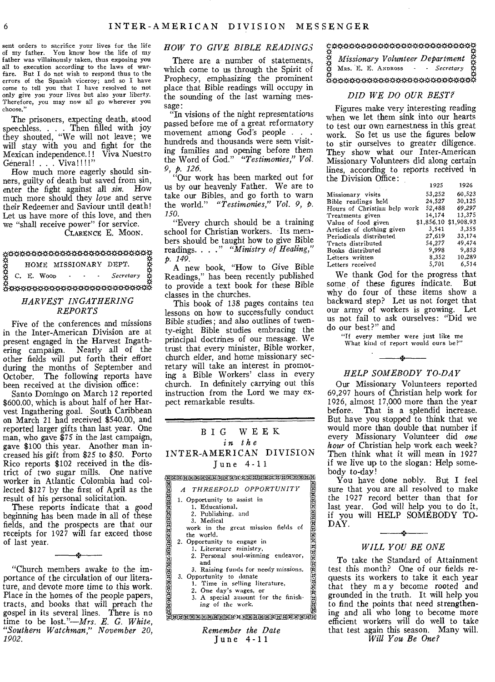sent orders to sacrifice your lives for the life of my father. You know how the life of my father was villainously taken, thus exposing you all to execution according to the laws of warfare. But I do not wish to respond thus to the errors of the Spanish viceroy; and so I have come to tell you that I have resolved to not only *give* you your lives but also your liberty. Therefore, you may now all go wherever you choose."

The prisoners, expecting death, stood speechless. . . . Then filled with joy they shouted, "We will not leave; we will stay with you and fight for the Mexican independence.!! Viva Nuestro General! . . . Viva!!!!"

How much more eagerly should sinners, guilty of death but saved from sin, enter the fight against all *sin.* How much more should they *love* and serve their Redeemer and Saviour until death! Let us have more of this love, and then we "shall receive power" for service.

CLARENCE E. MOON.

#### 600000000000000000000000000000

|  |  |  |  | HOME MISSIONARY DEPT. |      |
|--|--|--|--|-----------------------|------|
|  |  |  |  | Secretary             | xoor |
|  |  |  |  |                       |      |

#### *HARVEST INGATHERING REPORTS*

Five of the conferences and missions in the Inter-American Division are at present engaged in the Harvest Ingathering campaign. Nearly all of the other fields will put forth their effort during the months of September and October. The following reports have been received at the division office:

Santo Domingo on March 12 reported \$600.00, which is about half of her Harvest Ingathering goal. South Caribbean on March *21* had received \$540.00, and reported larger gifts than last year. One man, who gave \$75 in the last campaign, gave \$100 this year. Another man increased his gift from \$25 to \$50. Porto Rico reports \$102 received in the district of two sugar mills. One native worker in Atlantic Colombia had collected \$127 by the first of April as the result of his personal solicitation.

These reports indicate that a good beginning has been made in all of these fields, and the prospects are that our receipts for 1927 will far exceed those of last year.

**0:1** 

"Church members awake to the importance of the circulation of our literature, and devote more time to this work. Place in the homes of the people papers, tracts, and books that will preach the gospel in its several lines. There is no time to be lost."—Mrs. *E. G. White, "Southern Watchman," November 20, 1902.* 

## *HOW TO GIVE BIBLE READINGS*

There are a number of statements, which come to us through the Spirit of Prophecy, emphasizing the prominent place that Bible readings will occupy in the sounding of the last warning message:

"In visions of the night representations passed before me of a great reformatory movement among God's people . . . hundreds and thousands were seen visiting families and opening before them the Word of God." *"Testimonies," Vol. 9, p. 126.* 

"Our work has been marked out for us by our heavenly Father. We are to take our Bibles, and go forth to warn the world." *"Testimonies," Vol. 9, 0. 150.* 

"Every church should be a training school for Christian workers. Its members should be taught how to give Bible readings. . . ." *"Ministry of Healing," p. 149.* 

A new book, "How to Give Bible Readings," has been recently published to provide a text book for these Bible classes in the churches.

This book of 138 pages contains ten lessons on how to successfully conduct Bible studies; and also outlines of twenty-eight Bible studies embracing the principal doctrines of our message. We trust that every minister, Bible worker, church elder, and home missionary secretary will take an interest in promoting a Bible Workers' class in every church. In definitely carrying out this instruction from the Lord we may expect remarkable results.

## BIG WEEK *in the*  INTER-AMERICAN DIVISION June 4-11

*t*

#### **CORPINIS CONSTITUTION TO A CONSTITUTION** *A THREEFOLD OPPORTUNITY* itta eta zerregia zen zuen zuen zuen.<br>Iraila 1. Opportunity to assist in tt 1. Educational, 2. Publishing, and fAL'I tt 3. Medical work in the great mission fields of the world. a ttl tt 2. Opportunity to engage in 1. Literature *ministry,*   $\overline{124}$ 2. Personal soul-winning endeavor, and 3. Raising funds for needy missions. 3. Opportunity to donate 1. Time in selling literature, **EXAMINATE** fa a 2. One day's wages, or 3. A special amount for the finishing of the work. FIRRAR LARGON 1.100 ERRAR LARGO LA

*Remember the Date Jun* e 4 - **1 1** 

## <del>ኇዾቑቑቑቑቑቑቑቑቑቑቑቑቑቑቑቑቑቑቑቑቑቑቑ</del>ቒ

XXXXX *Missionary Volunteer Department*  MRS. E. E. ANDROSS - *Secretary*  <del>йининининин аралдар тараанда</del>

## *DID WE DO OUR BEST?*

Figures make very interesting reading when we let them sink into our hearts to test our own earnestness in this great work. So let us use the figures below to stir ourselves to greater diligence. They show what our Inter-American Missionary Volunteers did along certain lines, according to reports received in the Division Office:

|                              | 1925   | 1926                  |
|------------------------------|--------|-----------------------|
| Missionary visits            | 53.252 | 60,523                |
| Bible readings held          | 24,527 | 30.125                |
| Hours of Christian help work | 52,488 | 69,297                |
| Treatments given             | 14.174 | 13.375                |
| Value of food given          |        | \$1,856.10 \$1,908.93 |
| Articles of clothing given   | 3,541  | 3.355                 |
| Periodicals distributed      | 27,619 | 33.174                |
| Tracts distributed           | 54.277 | 49,474                |
| Books distributed            | 9.998  | 9.853                 |
| Letters written              | 8.352  | 10,289                |
| Letters received             | 5.701  | 6.514                 |

We thank God for the progress that some of these figures indicate. But why do four of these items show a backward step? Let us not forget that our army of workers is growing. Let us not fail to ask ourselves: "Did we do our best?" and

"If every member were just like me What kind of report would ours be?"

## $\rightarrow$ *HELP SOMEBODY TO-DAY*

Our Missionary Volunteers reported 69,297 hours of Christian help work for 1926, almost 17,000 more than the year before. That is a splendid increase. But have you stopped to think that we would more than double that number if every Missionary Volunteer did *one hour* of Christian help work each week? Then think what it will mean in 1927 if we live up to the slogan: Help somebody to-day!

You have done nobly. But I feel sure that you are all resolved to make the 1927 record better than that for last year. God will help you to do it, if you will HELP SOMEBODY TO-DAY.

## .<br>A *WILL YOU BE ONE*

To take the Standard of Attainment test this month? One of our fields requests its workers to take it each year that they m a y become rooted and grounded in the truth. It will help you to find the points that need strengthening and all who long to become more efficient workers will do well to take that test again this season. Many will. *Will You Be One?*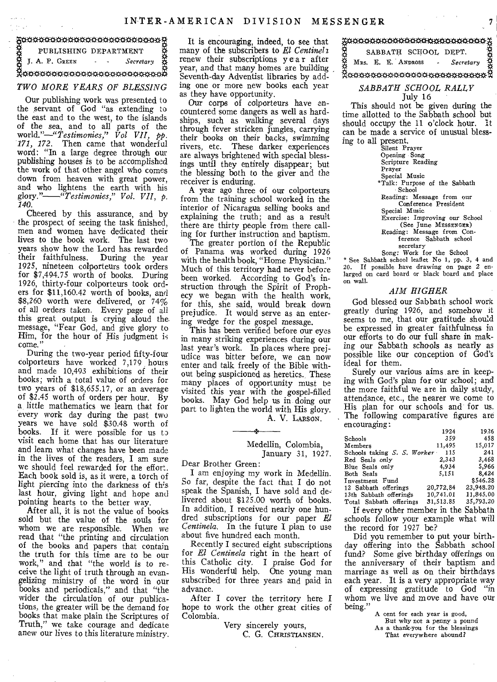PUBLISHING DEPARTMENT

J. A. P. GREEN - *Secretary*  Xxxxxxxxxxxxxxxxxxxxxxxxxxx

#### *TWO MORE YEARS OF BLESSING*

Our publishing work was presented to the servant of God "as extending to the east and to the west, to the islands of the sea, and to all parts of the *world."—"Testimonies," Vol VII, pp. 171, 172.* Then came that wonderful word: "In a large degree through our publishing houses is to be accomplished the work of that other angel who comes down from heaven with great power, and who lightens the earth with his *glory."—"Testimonies," Vol. VII, p. 140.* 

Cheered by this assurance, and by the prospect of seeing the task finished, men and women have dedicated their lives to the book work. The last two years show how the Lord has rewarded their faithfulness. During the year 1925, nineteen colporteurs took orders for \$7,494.75 worth of books. During 1926, thirty-four colporteurs took orders for \$11,160.42 worth of books, and \$8,260 worth were delivered, or 74% of all orders taken. Every page of all this great output is crying aloud the message, "Fear God, and give glory to Him, for the hour of His judgment is come."

During the two-year period fifty-four colporteurs have worked 7,179 hours and made 10,493 exhibitions of their books; with a total value of orders for two years of \$18,655.17, or an average of \$2.45 worth of orders per hour. By a little mathematics we learn that for every work day during the past two years we have sold \$30.48 worth of books. If it were possible for us to visit each home that has our literature and learn what changes have been made in the lives of the readers, I am sure we should feel rewarded for the effort. Each book sold is, as it were, a torch of light piercing into the darkness of this last hour, giving light and hope and pointing hearts to the better way.

After all, it is not the value of books sold but the value of the souls for whom we are responsible. When we read that "the printing and circulation of the books and papers that contain the truth for this time are to be our work," and that "the world is to receive the light of truth through an evangelizing ministry of the word in our books and periodicals," and that "the wider the circulation of our publications, the greater will be the demand for books that make plain the Scriptures of Truth," we take courage and dedicate anew our lives to this literature ministry.

It is encouraging, indeed, to see that many of the subscribers to *El Centinel2*  renew their subscriptions year after year, and that many homes are building Seventh-day Adventist libraries by adding one or more new books each year as they have opportunity.

Our corps of colporteurs have encountered some dangers as well as hardships, such as walking several days through fever stricken jungles, carrying their books on their backs, swimming rivers, etc. These darker experiences are always brightened with special blessings until they entirely disappear; but the blessing both to the giver and the receiver is enduring.

A year ago three of our colporteurs from the training school worked in the interior of Nicaragua selling books and explaining the truth; and as a result there are thirty people from there calling for further instruction and baptism.

The greater portion of the Republic of Panama was worked during 1926 with the health book, "Home Physician." Much of this territory had never before been worked. According to God's instruction through the Spirit of Prophecy we began with the health work, for this, she said, would break down prejudice. It would serve as an entering wedge for the gospel message.

This has been verified before our eyes in many striking experiences during our last year's work. In places where prejudice was bitter before, we can now enter and talk freely of the Bible without being suspicioned as heretics. These many places of opportunity must be visited this year with the gospel-filled books. May God help us in doing our part to lighten the world with His glory. A. V. LARSON.

#### Medellin, Colombia, January 31, 1927.

Dear Brother Green:

I am enjoying my work in Medellin. So far, despite the fact that I do not speak the Spanish, I have sold and delivered about \$125.00 worth of books. In addition, I received nearly one hundred subscriptions for our paper *El Centinela.* In the future I plan to use about five hundred each month.

Recently I secured eight subscriptions for *El Centinela* right in the heart of this Catholic city. I praise God for His wonderful help. One young man subscribed for three years and paid in advance.

After I cover the territory here I hope to work the other great cities of Colombia.

> Very sincerely yours, C. G. CHRISTIANSEN.

| Zaooooooooooooooooooooooooo |  |
|-----------------------------|--|
|                             |  |
|                             |  |
| WARD SABBATH SCHOOL DEPT.   |  |

7

## *SABBATH SCHOOL RALLY*  July 16

This should not be given during the time allotted to the Sabbath school but should occupy the 11 o'clock hour. it can be made a service of unusual blessing to all present. Silent Prayer

Opening Song Scripture Reading Prayer Special Music \*Talk: Purpose of the Sabbath School Reading: Message from our Conference President Special Music ffxercise: Improving our School (See June MESSENGER) Reading: Message from Conference Sabbath school secretary

*Song:* Work for the School

\* See Sabbath school leaflet No 1, pp. 3, 4 and 20. If possible have drawing on page *2* enlarged on card board or black board and place on wall.

#### *AIM HIGHER*

God blessed our Sabbath school work greatly during 1926, and somehow it seems to me, that our gratitude should be expressed in greater faithfulness in our efforts to do our full share in making our Sabbath schools as nearly as possible like our conception of God's ideal for them.

Surely our various aims are in keeping with God's plan for our school; and the more faithful we are in daily study, attendance, etc., the nearer we come to His plan for our schools and for us. The following comparative figures are encouraging:

|                             | 1924      | 19.26     |
|-----------------------------|-----------|-----------|
| Schools                     | 359       | 458       |
| Members                     | 11,495    | 15,017    |
| Schools taking S. S. Worker | 115       | 241       |
| Red Seals only              | 2.343     | 3,468     |
| Blue Seals only             | 4,934     | 5,966     |
| Both Seals                  | 5,151     | 8,424     |
| Investment Fund             |           | \$546.28  |
| 12 Sabbath offerings        | 20.772.84 | 23,948.20 |
| 13th Sabbath offerings      | 10.741.01 | 11.845.00 |
| Total Sabbath offerings     | 31,513.85 | 35,793.20 |
|                             |           |           |

If every other member in the Sabbath schools follow your example what will the record for 1927 be?

Did you remember to put your birthday offering into the Sabbath school fund? Some give birthday offerings on the anniversary of their baptism and marriage as well as on their birthdays each year. It is a very appropriate way of expressing gratitude to God "in whom we live and move and have our being."

A cent for each year is good,

- But why not a penny a pound
- As a thank-you for the blessings That everywhere abound?